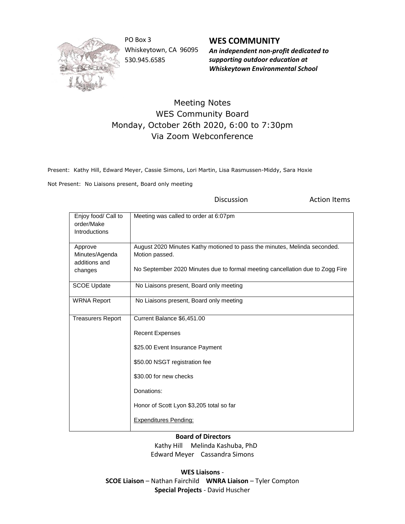

PO Box 3 Whiskeytown, CA 96095 530.945.6585

**WES COMMUNITY** *An independent non-profit dedicated to supporting outdoor education at Whiskeytown Environmental School*

## Meeting Notes WES Community Board Monday, October 26th 2020, 6:00 to 7:30pm Via Zoom Webconference

Present: Kathy Hill, Edward Meyer, Cassie Simons, Lori Martin, Lisa Rasmussen-Middy, Sara Hoxie

Not Present: No Liaisons present, Board only meeting

Discussion **Action** Items

| Enjoy food/ Call to<br>order/Make<br>Introductions | Meeting was called to order at 6:07pm                                                       |
|----------------------------------------------------|---------------------------------------------------------------------------------------------|
| Approve<br>Minutes/Agenda                          | August 2020 Minutes Kathy motioned to pass the minutes, Melinda seconded.<br>Motion passed. |
| additions and                                      |                                                                                             |
| changes                                            | No September 2020 Minutes due to formal meeting cancellation due to Zogg Fire               |
| <b>SCOE Update</b>                                 | No Liaisons present, Board only meeting                                                     |
| <b>WRNA Report</b>                                 | No Liaisons present, Board only meeting                                                     |
| <b>Treasurers Report</b>                           | Current Balance \$6,451.00                                                                  |
|                                                    | <b>Recent Expenses</b>                                                                      |
|                                                    | \$25.00 Event Insurance Payment                                                             |
|                                                    | \$50.00 NSGT registration fee                                                               |
|                                                    | \$30.00 for new checks                                                                      |
|                                                    | Donations:                                                                                  |
|                                                    | Honor of Scott Lyon \$3,205 total so far                                                    |
|                                                    | <b>Expenditures Pending:</b>                                                                |

**Board of Directors**

 Kathy Hill Melinda Kashuba, PhD Edward Meyer Cassandra Simons

**WES Liaisons** - **SCOE Liaison** – Nathan Fairchild **WNRA Liaison** – Tyler Compton **Special Projects** - David Huscher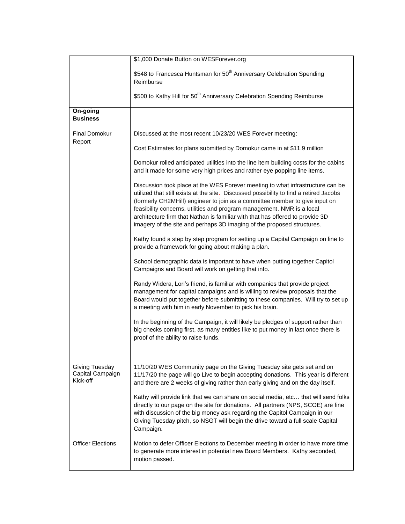|                                                       | \$1,000 Donate Button on WESForever.org                                                                                                                                                                                                                                                                                                                                                                                                                                                      |
|-------------------------------------------------------|----------------------------------------------------------------------------------------------------------------------------------------------------------------------------------------------------------------------------------------------------------------------------------------------------------------------------------------------------------------------------------------------------------------------------------------------------------------------------------------------|
|                                                       | \$548 to Francesca Huntsman for 50 <sup>th</sup> Anniversary Celebration Spending<br>Reimburse                                                                                                                                                                                                                                                                                                                                                                                               |
|                                                       | \$500 to Kathy Hill for 50 <sup>th</sup> Anniversary Celebration Spending Reimburse                                                                                                                                                                                                                                                                                                                                                                                                          |
| On-going<br><b>Business</b>                           |                                                                                                                                                                                                                                                                                                                                                                                                                                                                                              |
| <b>Final Domokur</b><br>Report                        | Discussed at the most recent 10/23/20 WES Forever meeting:                                                                                                                                                                                                                                                                                                                                                                                                                                   |
|                                                       | Cost Estimates for plans submitted by Domokur came in at \$11.9 million                                                                                                                                                                                                                                                                                                                                                                                                                      |
|                                                       | Domokur rolled anticipated utilities into the line item building costs for the cabins<br>and it made for some very high prices and rather eye popping line items.                                                                                                                                                                                                                                                                                                                            |
|                                                       | Discussion took place at the WES Forever meeting to what infrastructure can be<br>utilized that still exists at the site. Discussed possibility to find a retired Jacobs<br>(formerly CH2MHill) engineer to join as a committee member to give input on<br>feasibility concerns, utilities and program management. NMR is a local<br>architecture firm that Nathan is familiar with that has offered to provide 3D<br>imagery of the site and perhaps 3D imaging of the proposed structures. |
|                                                       | Kathy found a step by step program for setting up a Capital Campaign on line to<br>provide a framework for going about making a plan.                                                                                                                                                                                                                                                                                                                                                        |
|                                                       | School demographic data is important to have when putting together Capitol<br>Campaigns and Board will work on getting that info.                                                                                                                                                                                                                                                                                                                                                            |
|                                                       | Randy Widera, Lori's friend, is familiar with companies that provide project<br>management for capital campaigns and is willing to review proposals that the<br>Board would put together before submitting to these companies. Will try to set up<br>a meeting with him in early November to pick his brain.                                                                                                                                                                                 |
|                                                       | In the beginning of the Campaign, it will likely be pledges of support rather than<br>big checks coming first, as many entities like to put money in last once there is<br>proof of the ability to raise funds.                                                                                                                                                                                                                                                                              |
| <b>Giving Tuesday</b><br>Capital Campaign<br>Kick-off | 11/10/20 WES Community page on the Giving Tuesday site gets set and on<br>11/17/20 the page will go Live to begin accepting donations. This year is different<br>and there are 2 weeks of giving rather than early giving and on the day itself.                                                                                                                                                                                                                                             |
|                                                       | Kathy will provide link that we can share on social media, etc that will send folks<br>directly to our page on the site for donations. All partners (NPS, SCOE) are fine<br>with discussion of the big money ask regarding the Capitol Campaign in our<br>Giving Tuesday pitch, so NSGT will begin the drive toward a full scale Capital<br>Campaign.                                                                                                                                        |
| <b>Officer Elections</b>                              | Motion to defer Officer Elections to December meeting in order to have more time<br>to generate more interest in potential new Board Members. Kathy seconded,<br>motion passed.                                                                                                                                                                                                                                                                                                              |